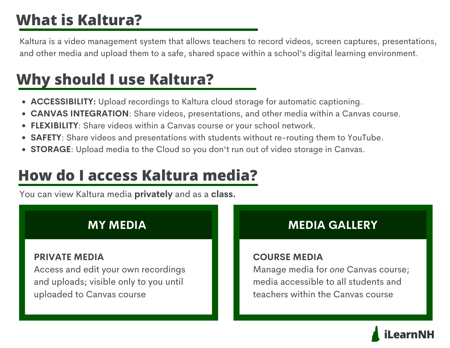# **What is Kaltura?**

Kaltura is a video management system that allows teachers to record videos, screen captures, presentations, and other media and upload them to a safe, shared space within a school's digital learning environment.

## **Why should I use Kaltura?**

- **ACCESSIBILITY:** Upload recordings to Kaltura cloud storage for automatic captioning.
- **CANVAS INTEGRATION**: Share videos, presentations, and other media within a Canvas course.
- **FLEXIBILITY**: Share videos within a Canvas course or your school network.  $\bullet$
- **SAFETY**: Share videos and presentations with students without re-routing them to YouTube.
- **STORAGE**: Upload media to the Cloud so you don't run out of video storage in Canvas.

## **How do I access Kaltura media?**

You can view Kaltura media **privately** and as a **class.**

## **MY MEDIA**

### **PRIVATE MEDIA**

Access and edit your own recordings and uploads; visible only to you until uploaded to Canvas course

## **MEDIA GALLERY**

## **COURSE MEDIA**

Manage media for *one* Canvas course; media accessible to all students and teachers within the Canvas course